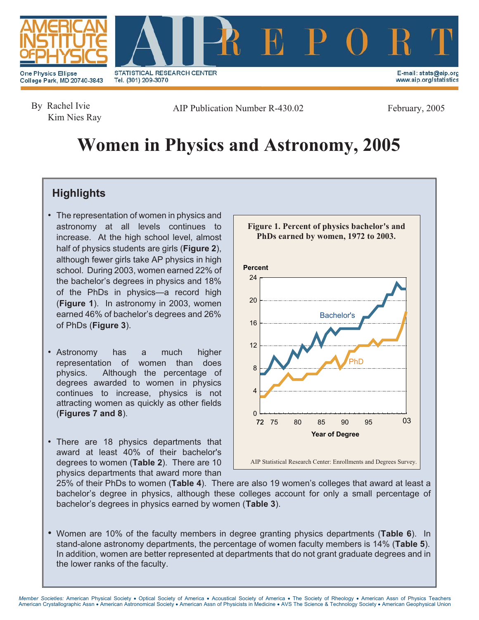



College Park, MD 20740-3843

STATISTICAL RESEARCH CENTER Tel. (301) 209-3070

E-mail: stats@aip.org www.aip.org/statistics

By Rachel Ivie Kim Nies Ray

AIP Publication Number R-430.02 February, 2005

# **Women in Physics and Astronomy, 2005**

# **Highlights**

- The representation of women in physics and astronomy at all levels continues to increase. At the high school level, almost half of physics students are girls (**Figure 2**), although fewer girls take AP physics in high school. During 2003, women earned 22% of the bachelor's degrees in physics and 18% of the PhDs in physics—a record high (**Figure 1**). In astronomy in 2003, women earned 46% of bachelor's degrees and 26% of PhDs (**Figure 3**).
- Astronomy has a much higher representation of women than does physics. Although the percentage of degrees awarded to women in physics continues to increase, physics is not attracting women as quickly as other fields (**Figures 7 and 8**).
- There are 18 physics departments that award at least 40% of their bachelor's degrees to women (**Table 2**). There are 10 physics departments that award more than



25% of their PhDs to women (**Table 4**). There are also 19 women's colleges that award at least a bachelor's degree in physics, although these colleges account for only a small percentage of bachelor's degrees in physics earned by women (**Table 3**).

• Women are 10% of the faculty members in degree granting physics departments (**Table 6**). In stand-alone astronomy departments, the percentage of women faculty members is 14% (**Table 5**). In addition, women are better represented at departments that do not grant graduate degrees and in the lower ranks of the faculty.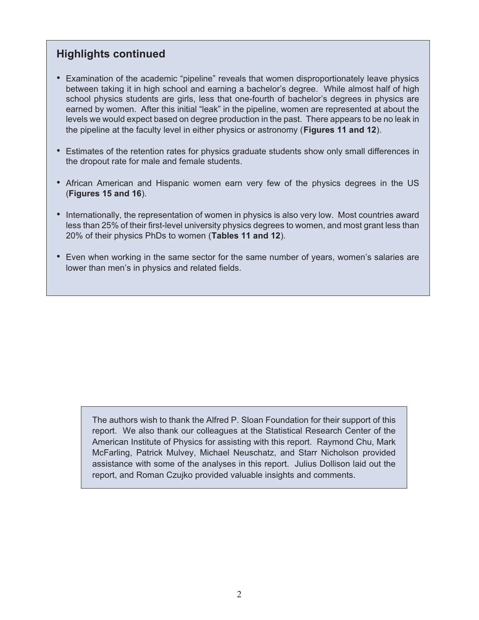# **Highlights continued**

- Examination of the academic "pipeline" reveals that women disproportionately leave physics between taking it in high school and earning a bachelor's degree. While almost half of high school physics students are girls, less that one-fourth of bachelor's degrees in physics are earned by women. After this initial "leak" in the pipeline, women are represented at about the levels we would expect based on degree production in the past. There appears to be no leak in the pipeline at the faculty level in either physics or astronomy (**Figures 11 and 12**).
- Estimates of the retention rates for physics graduate students show only small differences in the dropout rate for male and female students.
- African American and Hispanic women earn very few of the physics degrees in the US (**Figures 15 and 16**).
- Internationally, the representation of women in physics is also very low. Most countries award less than 25% of their first-level university physics degrees to women, and most grant less than 20% of their physics PhDs to women (**Tables 11 and 12**).
- Even when working in the same sector for the same number of years, women's salaries are lower than men's in physics and related fields.

The authors wish to thank the Alfred P. Sloan Foundation for their support of this report. We also thank our colleagues at the Statistical Research Center of the American Institute of Physics for assisting with this report. Raymond Chu, Mark McFarling, Patrick Mulvey, Michael Neuschatz, and Starr Nicholson provided assistance with some of the analyses in this report. Julius Dollison laid out the report, and Roman Czujko provided valuable insights and comments.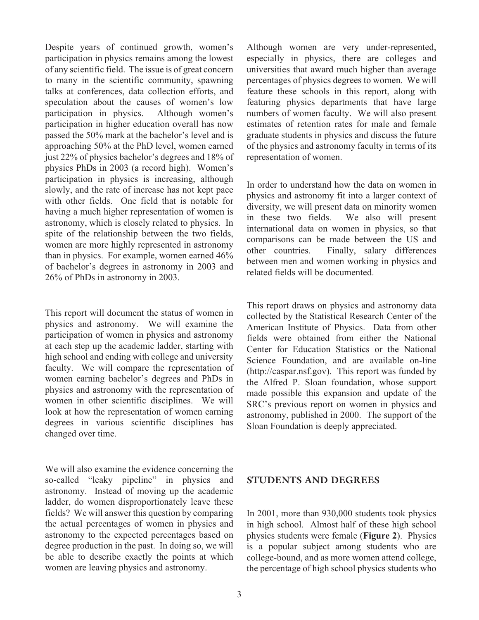Despite years of continued growth, women's participation in physics remains among the lowest of any scientific field. The issue is of great concern to many in the scientific community, spawning talks at conferences, data collection efforts, and speculation about the causes of women's low participation in physics. Although women's participation in higher education overall has now passed the 50% mark at the bachelor's level and is approaching 50% at the PhD level, women earned just 22% of physics bachelor's degrees and 18% of physics PhDs in 2003 (a record high). Women's participation in physics is increasing, although slowly, and the rate of increase has not kept pace with other fields. One field that is notable for having a much higher representation of women is astronomy, which is closely related to physics. In spite of the relationship between the two fields, women are more highly represented in astronomy than in physics. For example, women earned 46% of bachelor's degrees in astronomy in 2003 and 26% of PhDs in astronomy in 2003.

This report will document the status of women in physics and astronomy. We will examine the participation of women in physics and astronomy at each step up the academic ladder, starting with high school and ending with college and university faculty. We will compare the representation of women earning bachelor's degrees and PhDs in physics and astronomy with the representation of women in other scientific disciplines. We will look at how the representation of women earning degrees in various scientific disciplines has changed over time.

We will also examine the evidence concerning the so-called "leaky pipeline" in physics and astronomy. Instead of moving up the academic ladder, do women disproportionately leave these fields? We will answer this question by comparing the actual percentages of women in physics and astronomy to the expected percentages based on degree production in the past. In doing so, we will be able to describe exactly the points at which women are leaving physics and astronomy.

Although women are very under-represented, especially in physics, there are colleges and universities that award much higher than average percentages of physics degrees to women. We will feature these schools in this report, along with featuring physics departments that have large numbers of women faculty. We will also present estimates of retention rates for male and female graduate students in physics and discuss the future of the physics and astronomy faculty in terms of its representation of women.

In order to understand how the data on women in physics and astronomy fit into a larger context of diversity, we will present data on minority women in these two fields. We also will present international data on women in physics, so that comparisons can be made between the US and other countries. Finally, salary differences between men and women working in physics and related fields will be documented.

This report draws on physics and astronomy data collected by the Statistical Research Center of the American Institute of Physics. Data from other fields were obtained from either the National Center for Education Statistics or the National Science Foundation, and are available on-line (http://caspar.nsf.gov). This report was funded by the Alfred P. Sloan foundation, whose support made possible this expansion and update of the SRC's previous report on women in physics and astronomy, published in 2000. The support of the Sloan Foundation is deeply appreciated.

#### **STUDENTS AND DEGREES**

In 2001, more than 930,000 students took physics in high school. Almost half of these high school physics students were female (**Figure 2**). Physics is a popular subject among students who are college-bound, and as more women attend college, the percentage of high school physics students who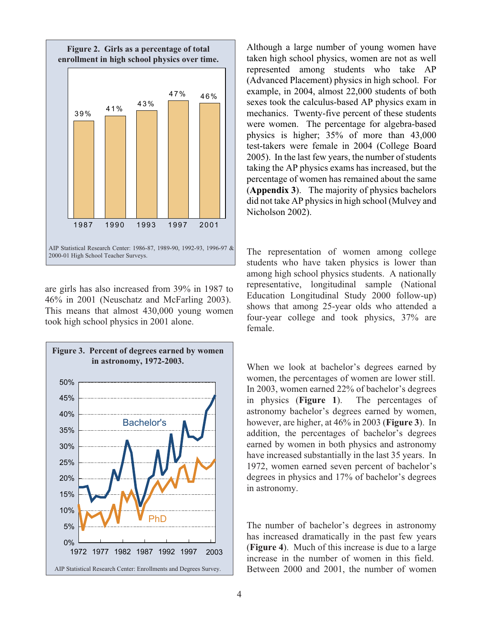

are girls has also increased from 39% in 1987 to 46% in 2001 (Neuschatz and McFarling 2003). This means that almost 430,000 young women took high school physics in 2001 alone.



Although a large number of young women have taken high school physics, women are not as well represented among students who take AP (Advanced Placement) physics in high school. For example, in 2004, almost 22,000 students of both sexes took the calculus-based AP physics exam in mechanics. Twenty-five percent of these students were women. The percentage for algebra-based physics is higher; 35% of more than 43,000 test-takers were female in 2004 (College Board 2005). In the last few years, the number of students taking the AP physics exams has increased, but the percentage of women has remained about the same (**Appendix 3**). The majority of physics bachelors did not take AP physics in high school (Mulvey and Nicholson 2002).

The representation of women among college students who have taken physics is lower than among high school physics students. A nationally representative, longitudinal sample (National Education Longitudinal Study 2000 follow-up) shows that among 25-year olds who attended a four-year college and took physics, 37% are female.

When we look at bachelor's degrees earned by women, the percentages of women are lower still. In 2003, women earned 22% of bachelor's degrees in physics (**Figure 1**). The percentages of astronomy bachelor's degrees earned by women, however, are higher, at 46% in 2003 (**Figure 3**). In addition, the percentages of bachelor's degrees earned by women in both physics and astronomy have increased substantially in the last 35 years. In 1972, women earned seven percent of bachelor's degrees in physics and 17% of bachelor's degrees in astronomy.

The number of bachelor's degrees in astronomy has increased dramatically in the past few years (**Figure 4**). Much of this increase is due to a large increase in the number of women in this field. Between 2000 and 2001, the number of women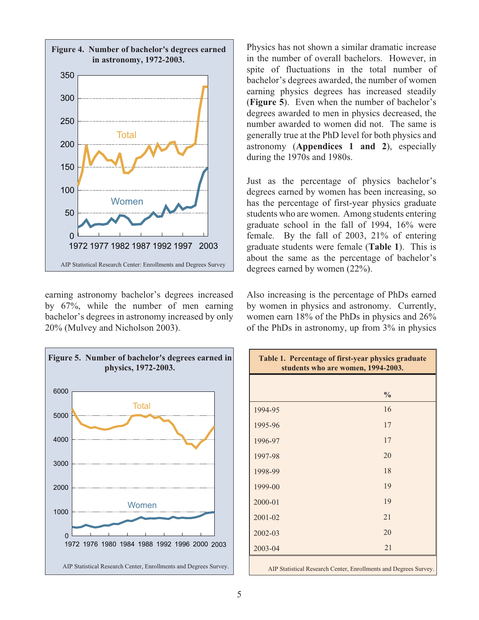

earning astronomy bachelor's degrees increased by 67%, while the number of men earning bachelor's degrees in astronomy increased by only 20% (Mulvey and Nicholson 2003).



Physics has not shown a similar dramatic increase in the number of overall bachelors. However, in spite of fluctuations in the total number of bachelor's degrees awarded, the number of women earning physics degrees has increased steadily (**Figure 5**). Even when the number of bachelor's degrees awarded to men in physics decreased, the number awarded to women did not. The same is generally true at the PhD level for both physics and astronomy (**Appendices 1 and 2**), especially during the 1970s and 1980s.

Just as the percentage of physics bachelor's degrees earned by women has been increasing, so has the percentage of first-year physics graduate students who are women. Among students entering graduate school in the fall of 1994, 16% were female. By the fall of 2003, 21% of entering graduate students were female (**Table 1**). This is about the same as the percentage of bachelor's degrees earned by women (22%).

Also increasing is the percentage of PhDs earned by women in physics and astronomy. Currently, women earn 18% of the PhDs in physics and 26% of the PhDs in astronomy, up from 3% in physics

| Table 1. Percentage of first-year physics graduate<br>students who are women, 1994-2003. |               |  |
|------------------------------------------------------------------------------------------|---------------|--|
|                                                                                          |               |  |
|                                                                                          | $\frac{0}{0}$ |  |
| 1994-95                                                                                  | 16            |  |
| 1995-96                                                                                  | 17            |  |
| 1996-97                                                                                  | 17            |  |
| 1997-98                                                                                  | 20            |  |
| 1998-99                                                                                  | 18            |  |
| 1999-00                                                                                  | 19            |  |
| 2000-01                                                                                  | 19            |  |
| 2001-02                                                                                  | 21            |  |
| 2002-03                                                                                  | 20            |  |
| $2003 - 04$                                                                              | 21            |  |
| AIP Statistical Research Center, Enrollments and Degrees Survey.                         |               |  |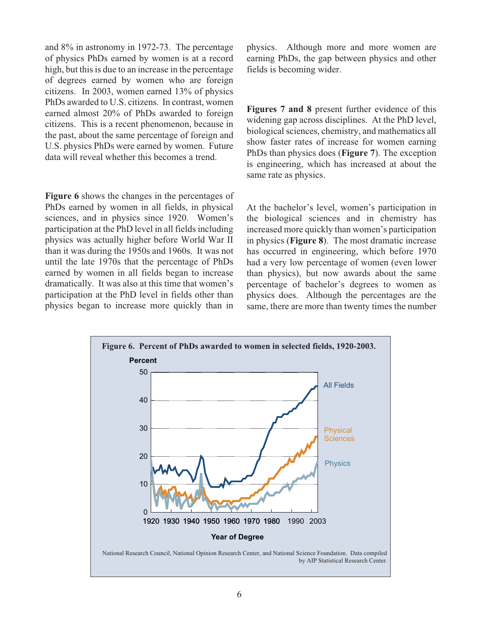and 8% in astronomy in 1972-73. The percentage of physics PhDs earned by women is at a record high, but this is due to an increase in the percentage of degrees earned by women who are foreign citizens. In 2003, women earned 13% of physics PhDs awarded to U.S. citizens. In contrast, women earned almost 20% of PhDs awarded to foreign citizens. This is a recent phenomenon, because in the past, about the same percentage of foreign and U.S. physics PhDs were earned by women. Future data will reveal whether this becomes a trend.

**Figure 6** shows the changes in the percentages of PhDs earned by women in all fields, in physical sciences, and in physics since 1920. Women's participation at the PhD level in all fields including physics was actually higher before World War II than it was during the 1950s and 1960s. It was not until the late 1970s that the percentage of PhDs earned by women in all fields began to increase dramatically. It was also at this time that women's participation at the PhD level in fields other than physics began to increase more quickly than in physics. Although more and more women are earning PhDs, the gap between physics and other fields is becoming wider.

**Figures 7 and 8** present further evidence of this widening gap across disciplines. At the PhD level, biological sciences, chemistry, and mathematics all show faster rates of increase for women earning PhDs than physics does (**Figure 7**). The exception is engineering, which has increased at about the same rate as physics.

At the bachelor's level, women's participation in the biological sciences and in chemistry has increased more quickly than women's participation in physics (**Figure 8**). The most dramatic increase has occurred in engineering, which before 1970 had a very low percentage of women (even lower than physics), but now awards about the same percentage of bachelor's degrees to women as physics does. Although the percentages are the same, there are more than twenty times the number

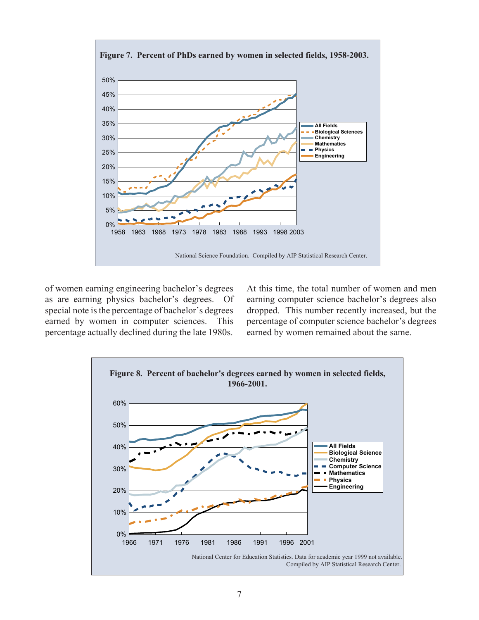

of women earning engineering bachelor's degrees as are earning physics bachelor's degrees. Of special note is the percentage of bachelor's degrees earned by women in computer sciences. This percentage actually declined during the late 1980s. At this time, the total number of women and men earning computer science bachelor's degrees also dropped. This number recently increased, but the percentage of computer science bachelor's degrees earned by women remained about the same.

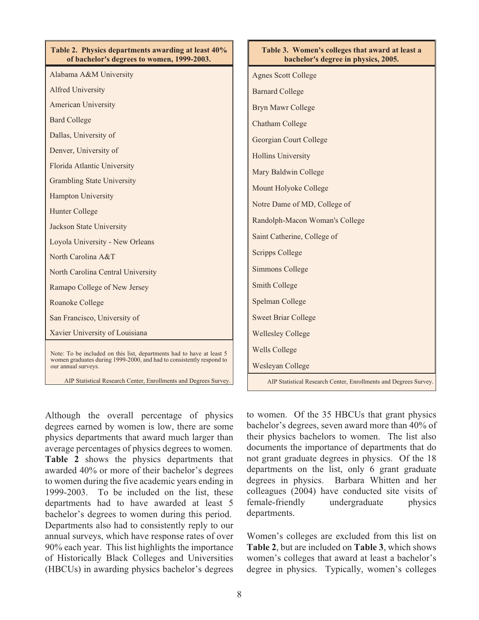| Table 2. Physics departments awarding at least 40%<br>of bachelor's degrees to women, 1999-2003. | Table 3. Women's colleges that award at least a<br>bachelor's degree in physics, 2005. |
|--------------------------------------------------------------------------------------------------|----------------------------------------------------------------------------------------|
| Alabama A&M University                                                                           | <b>Agnes Scott College</b>                                                             |
| <b>Alfred University</b>                                                                         | <b>Barnard College</b>                                                                 |
| <b>American University</b>                                                                       | <b>Bryn Mawr College</b>                                                               |
| <b>Bard College</b>                                                                              | <b>Chatham College</b>                                                                 |
| Dallas, University of                                                                            | Georgian Court College                                                                 |
| Denver, University of                                                                            | <b>Hollins University</b>                                                              |
| Florida Atlantic University                                                                      | Mary Baldwin College                                                                   |
| <b>Grambling State University</b>                                                                | Mount Holyoke College                                                                  |
| <b>Hampton University</b>                                                                        | Notre Dame of MD, College of                                                           |
| <b>Hunter College</b>                                                                            | Randolph-Macon Woman's College                                                         |
| <b>Jackson State University</b>                                                                  |                                                                                        |
| Loyola University - New Orleans                                                                  | Saint Catherine, College of                                                            |
| North Carolina A&T                                                                               | <b>Scripps College</b>                                                                 |
| North Carolina Central University                                                                | <b>Simmons College</b>                                                                 |
| Ramapo College of New Jersey                                                                     | <b>Smith College</b>                                                                   |
| <b>Roanoke College</b>                                                                           | Spelman College                                                                        |
| San Francisco, University of                                                                     | <b>Sweet Briar College</b>                                                             |
| Xavier University of Louisiana                                                                   | <b>Wellesley College</b>                                                               |
| Note: To be included on this list, departments had to have at least 5                            | <b>Wells College</b>                                                                   |
| women graduates during 1999-2000, and had to consistently respond to<br>our annual surveys.      | Wesleyan College                                                                       |
| AIP Statistical Research Center, Enrollments and Degrees Survey.                                 | AIP Statistical Research Center, Enrollments and Degrees Survey.                       |

Although the overall percentage of physics degrees earned by women is low, there are some physics departments that award much larger than average percentages of physics degrees to women. **Table 2** shows the physics departments that awarded 40% or more of their bachelor's degrees to women during the five academic years ending in 1999-2003. To be included on the list, these departments had to have awarded at least 5 bachelor's degrees to women during this period. Departments also had to consistently reply to our annual surveys, which have response rates of over 90% each year. This list highlights the importance of Historically Black Colleges and Universities (HBCUs) in awarding physics bachelor's degrees to women. Of the 35 HBCUs that grant physics bachelor's degrees, seven award more than 40% of their physics bachelors to women. The list also documents the importance of departments that do not grant graduate degrees in physics. Of the 18 departments on the list, only 6 grant graduate degrees in physics. Barbara Whitten and her colleagues (2004) have conducted site visits of female-friendly undergraduate physics departments.

Women's colleges are excluded from this list on **Table 2**, but are included on **Table 3**, which shows women's colleges that award at least a bachelor's degree in physics. Typically, women's colleges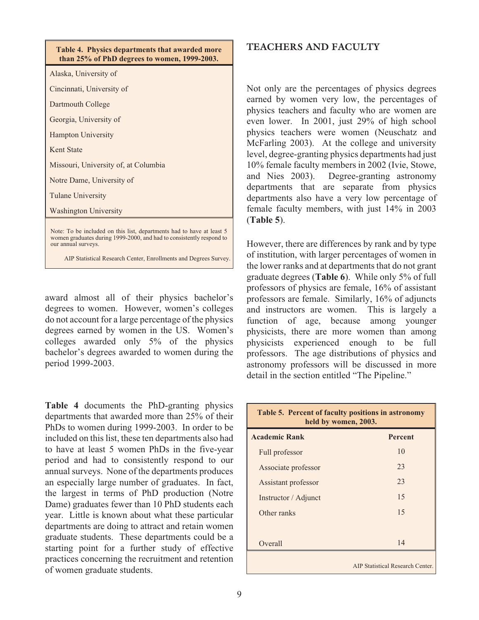| Table 4. Physics departments that awarded more<br>than 25% of PhD degrees to women, 1999-2003.                                                                       |
|----------------------------------------------------------------------------------------------------------------------------------------------------------------------|
| Alaska, University of                                                                                                                                                |
| Cincinnati, University of                                                                                                                                            |
| Dartmouth College                                                                                                                                                    |
| Georgia, University of                                                                                                                                               |
| <b>Hampton University</b>                                                                                                                                            |
| <b>Kent State</b>                                                                                                                                                    |
| Missouri, University of, at Columbia                                                                                                                                 |
| Notre Dame, University of                                                                                                                                            |
| <b>Tulane University</b>                                                                                                                                             |
| <b>Washington University</b>                                                                                                                                         |
| Note: To be included on this list, departments had to have at least 5<br>women graduates during 1999-2000, and had to consistently respond to<br>our annual surveys. |

AIP Statistical Research Center, Enrollments and Degrees Survey.

award almost all of their physics bachelor's degrees to women. However, women's colleges do not account for a large percentage of the physics degrees earned by women in the US. Women's colleges awarded only 5% of the physics bachelor's degrees awarded to women during the period 1999-2003.

**Table 4** documents the PhD-granting physics departments that awarded more than 25% of their PhDs to women during 1999-2003. In order to be included on this list, these ten departments also had to have at least 5 women PhDs in the five-year period and had to consistently respond to our annual surveys. None of the departments produces an especially large number of graduates. In fact, the largest in terms of PhD production (Notre Dame) graduates fewer than 10 PhD students each year. Little is known about what these particular departments are doing to attract and retain women graduate students. These departments could be a starting point for a further study of effective practices concerning the recruitment and retention of women graduate students.

## **TEACHERS AND FACULTY**

Not only are the percentages of physics degrees earned by women very low, the percentages of physics teachers and faculty who are women are even lower. In 2001, just 29% of high school physics teachers were women (Neuschatz and McFarling 2003). At the college and university level, degree-granting physics departments had just 10% female faculty members in 2002 (Ivie, Stowe, and Nies 2003). Degree-granting astronomy departments that are separate from physics departments also have a very low percentage of female faculty members, with just 14% in 2003 (**Table 5**).

However, there are differences by rank and by type of institution, with larger percentages of women in the lower ranks and at departments that do not grant graduate degrees (**Table 6**). While only 5% of full professors of physics are female, 16% of assistant professors are female. Similarly, 16% of adjuncts and instructors are women. This is largely a function of age, because among younger physicists, there are more women than among physicists experienced enough to be full professors. The age distributions of physics and astronomy professors will be discussed in more detail in the section entitled "The Pipeline."

| Table 5. Percent of faculty positions in astronomy<br>held by women, 2003. |                                  |  |  |
|----------------------------------------------------------------------------|----------------------------------|--|--|
| <b>Academic Rank</b><br><b>Percent</b>                                     |                                  |  |  |
| Full professor                                                             | 10                               |  |  |
| Associate professor                                                        | 23                               |  |  |
| Assistant professor                                                        | 23                               |  |  |
| Instructor / Adjunct                                                       | 15                               |  |  |
| Other ranks                                                                | 15                               |  |  |
|                                                                            |                                  |  |  |
| Overall                                                                    | 14                               |  |  |
|                                                                            | AIP Statistical Research Center. |  |  |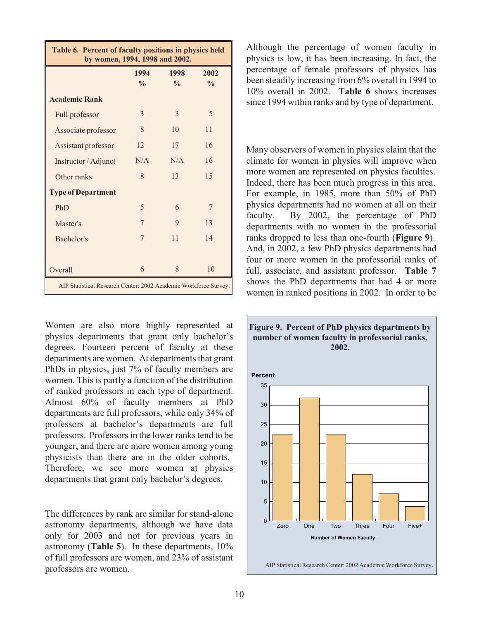| Table 6. Percent of faculty positions in physics held<br>by women, 1994, 1998 and 2002. |                       |                       |                       |  |
|-----------------------------------------------------------------------------------------|-----------------------|-----------------------|-----------------------|--|
|                                                                                         | 1994<br>$\frac{0}{0}$ | 1998<br>$\frac{0}{0}$ | 2002<br>$\frac{0}{0}$ |  |
| <b>Academic Rank</b>                                                                    |                       |                       |                       |  |
| Full professor                                                                          | 3                     | 3                     | 5                     |  |
| Associate professor                                                                     | 8                     | 10                    | 11                    |  |
| Assistant professor                                                                     | 12                    | 17                    | 16                    |  |
| Instructor / Adjunct                                                                    | N/A                   | N/A                   | 16                    |  |
| Other ranks                                                                             | 8                     | 13                    | 15                    |  |
| <b>Type of Department</b>                                                               |                       |                       |                       |  |
| PhD                                                                                     | 5                     | 6                     | 7                     |  |
| Master's                                                                                | 7                     | 9                     | 13                    |  |
| Bachelor's                                                                              | 7                     | 11                    | 14                    |  |
|                                                                                         |                       |                       |                       |  |
| Overall                                                                                 | 6                     | 8                     | 10                    |  |
| AIP Statistical Research Center: 2002 Academic Workforce Survey.                        |                       |                       |                       |  |

Women are also more highly represented at physics departments that grant only bachelor's degrees. Fourteen percent of faculty at these departments are women. At departments that grant PhDs in physics, just 7% of faculty members are women. This is partly a function of the distribution of ranked professors in each type of department. Almost 60% of faculty members at PhD departments are full professors, while only 34% of professors at bachelor's departments are full professors. Professors in the lower ranks tend to be younger, and there are more women among young physicists than there are in the older cohorts. Therefore, we see more women at physics departments that grant only bachelor's degrees.

The differences by rank are similar for stand-alone astronomy departments, although we have data only for 2003 and not for previous years in astronomy (**Table 5**). In these departments, 10% of full professors are women, and 23% of assistant professors are women.

Although the percentage of women faculty in physics is low, it has been increasing. In fact, the percentage of female professors of physics has been steadily increasing from 6% overall in 1994 to 10% overall in 2002. **Table 6** shows increases since 1994 within ranks and by type of department.

Many observers of women in physics claim that the climate for women in physics will improve when more women are represented on physics faculties. Indeed, there has been much progress in this area. For example, in 1985, more than 50% of PhD physics departments had no women at all on their faculty. By 2002, the percentage of PhD departments with no women in the professorial ranks dropped to less than one-fourth (**Figure 9**). And, in 2002, a few PhD physics departments had four or more women in the professorial ranks of full, associate, and assistant professor. **Table 7** shows the PhD departments that had 4 or more women in ranked positions in 2002. In order to be

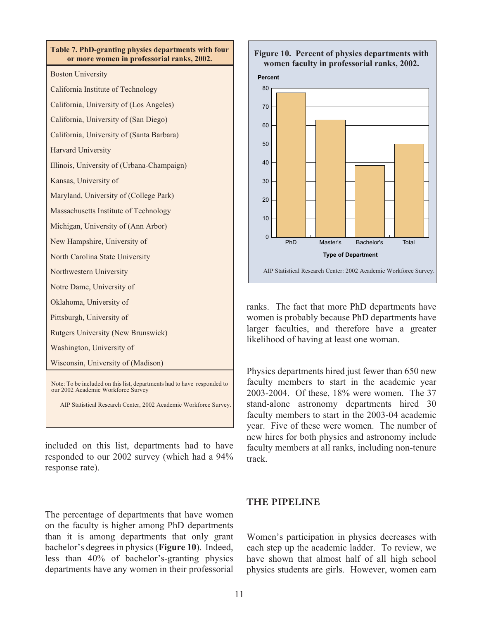

AIP Statistical Research Center, 2002 Academic Workforce Survey.

included on this list, departments had to have responded to our 2002 survey (which had a 94% response rate).

The percentage of departments that have women on the faculty is higher among PhD departments than it is among departments that only grant bachelor's degrees in physics (**Figure 10**). Indeed, less than 40% of bachelor's-granting physics departments have any women in their professorial

#### **Figure 10. Percent of physics departments with women faculty in professorial ranks, 2002.**





ranks. The fact that more PhD departments have women is probably because PhD departments have larger faculties, and therefore have a greater likelihood of having at least one woman.

Physics departments hired just fewer than 650 new faculty members to start in the academic year 2003-2004. Of these, 18% were women. The 37 stand-alone astronomy departments hired 30 faculty members to start in the 2003-04 academic year. Five of these were women. The number of new hires for both physics and astronomy include faculty members at all ranks, including non-tenure track.

## **THE PIPELINE**

Women's participation in physics decreases with each step up the academic ladder. To review, we have shown that almost half of all high school physics students are girls. However, women earn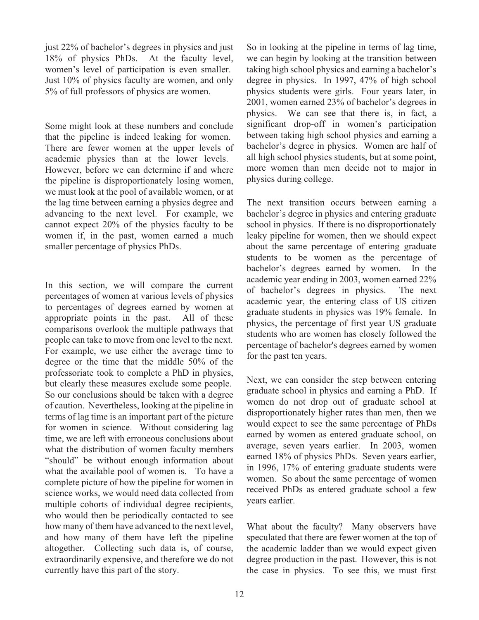just 22% of bachelor's degrees in physics and just 18% of physics PhDs. At the faculty level, women's level of participation is even smaller. Just 10% of physics faculty are women, and only 5% of full professors of physics are women.

Some might look at these numbers and conclude that the pipeline is indeed leaking for women. There are fewer women at the upper levels of academic physics than at the lower levels. However, before we can determine if and where the pipeline is disproportionately losing women, we must look at the pool of available women, or at the lag time between earning a physics degree and advancing to the next level. For example, we cannot expect 20% of the physics faculty to be women if, in the past, women earned a much smaller percentage of physics PhDs.

In this section, we will compare the current percentages of women at various levels of physics to percentages of degrees earned by women at appropriate points in the past. All of these comparisons overlook the multiple pathways that people can take to move from one level to the next. For example, we use either the average time to degree or the time that the middle 50% of the professoriate took to complete a PhD in physics, but clearly these measures exclude some people. So our conclusions should be taken with a degree of caution. Nevertheless, looking at the pipeline in terms of lag time is an important part of the picture for women in science. Without considering lag time, we are left with erroneous conclusions about what the distribution of women faculty members "should" be without enough information about what the available pool of women is. To have a complete picture of how the pipeline for women in science works, we would need data collected from multiple cohorts of individual degree recipients, who would then be periodically contacted to see how many of them have advanced to the next level, and how many of them have left the pipeline altogether. Collecting such data is, of course, extraordinarily expensive, and therefore we do not currently have this part of the story.

So in looking at the pipeline in terms of lag time, we can begin by looking at the transition between taking high school physics and earning a bachelor's degree in physics. In 1997, 47% of high school physics students were girls. Four years later, in 2001, women earned 23% of bachelor's degrees in physics. We can see that there is, in fact, a significant drop-off in women's participation between taking high school physics and earning a bachelor's degree in physics. Women are half of all high school physics students, but at some point, more women than men decide not to major in physics during college.

The next transition occurs between earning a bachelor's degree in physics and entering graduate school in physics. If there is no disproportionately leaky pipeline for women, then we should expect about the same percentage of entering graduate students to be women as the percentage of bachelor's degrees earned by women. In the academic year ending in 2003, women earned 22% of bachelor's degrees in physics. The next academic year, the entering class of US citizen graduate students in physics was 19% female. In physics, the percentage of first year US graduate students who are women has closely followed the percentage of bachelor's degrees earned by women for the past ten years.

Next, we can consider the step between entering graduate school in physics and earning a PhD. If women do not drop out of graduate school at disproportionately higher rates than men, then we would expect to see the same percentage of PhDs earned by women as entered graduate school, on average, seven years earlier. In 2003, women earned 18% of physics PhDs. Seven years earlier, in 1996, 17% of entering graduate students were women. So about the same percentage of women received PhDs as entered graduate school a few years earlier.

What about the faculty? Many observers have speculated that there are fewer women at the top of the academic ladder than we would expect given degree production in the past. However, this is not the case in physics. To see this, we must first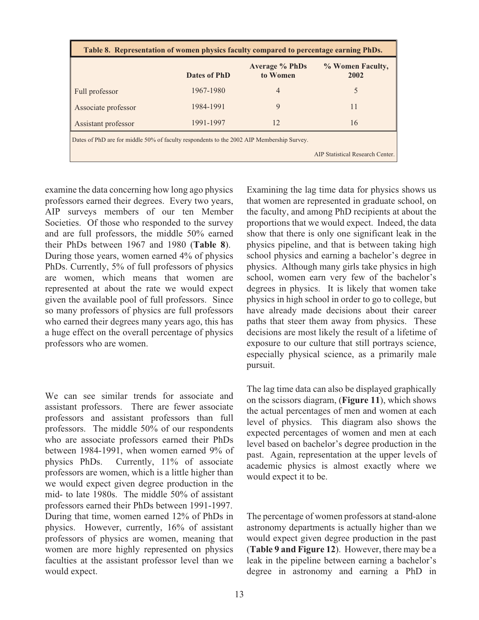| Table 8. Representation of women physics faculty compared to percentage earning PhDs.     |              |                          |    |  |
|-------------------------------------------------------------------------------------------|--------------|--------------------------|----|--|
|                                                                                           | Dates of PhD | % Women Faculty,<br>2002 |    |  |
| Full professor                                                                            | 1967-1980    | 4                        |    |  |
| Associate professor                                                                       | 1984-1991    | 9                        | 11 |  |
| Assistant professor                                                                       | 1991-1997    | 12                       | 16 |  |
| Dates of PhD are for middle 50% of faculty respondents to the 2002 AIP Membership Survey. |              |                          |    |  |
| AIP Statistical Research Center.                                                          |              |                          |    |  |

examine the data concerning how long ago physics professors earned their degrees. Every two years, AIP surveys members of our ten Member Societies. Of those who responded to the survey and are full professors, the middle 50% earned their PhDs between 1967 and 1980 (**Table 8**). During those years, women earned 4% of physics PhDs. Currently, 5% of full professors of physics are women, which means that women are represented at about the rate we would expect given the available pool of full professors. Since so many professors of physics are full professors who earned their degrees many years ago, this has a huge effect on the overall percentage of physics professors who are women.

We can see similar trends for associate and assistant professors. There are fewer associate professors and assistant professors than full professors. The middle 50% of our respondents who are associate professors earned their PhDs between 1984-1991, when women earned 9% of physics PhDs. Currently, 11% of associate professors are women, which is a little higher than we would expect given degree production in the mid- to late 1980s. The middle 50% of assistant professors earned their PhDs between 1991-1997. During that time, women earned 12% of PhDs in physics. However, currently, 16% of assistant professors of physics are women, meaning that women are more highly represented on physics faculties at the assistant professor level than we would expect.

Examining the lag time data for physics shows us that women are represented in graduate school, on the faculty, and among PhD recipients at about the proportions that we would expect. Indeed, the data show that there is only one significant leak in the physics pipeline, and that is between taking high school physics and earning a bachelor's degree in physics. Although many girls take physics in high school, women earn very few of the bachelor's degrees in physics. It is likely that women take physics in high school in order to go to college, but have already made decisions about their career paths that steer them away from physics. These decisions are most likely the result of a lifetime of exposure to our culture that still portrays science, especially physical science, as a primarily male pursuit.

The lag time data can also be displayed graphically on the scissors diagram, (**Figure 11**), which shows the actual percentages of men and women at each level of physics. This diagram also shows the expected percentages of women and men at each level based on bachelor's degree production in the past. Again, representation at the upper levels of academic physics is almost exactly where we would expect it to be.

The percentage of women professors at stand-alone astronomy departments is actually higher than we would expect given degree production in the past (**Table 9 and Figure 12**). However, there may be a leak in the pipeline between earning a bachelor's degree in astronomy and earning a PhD in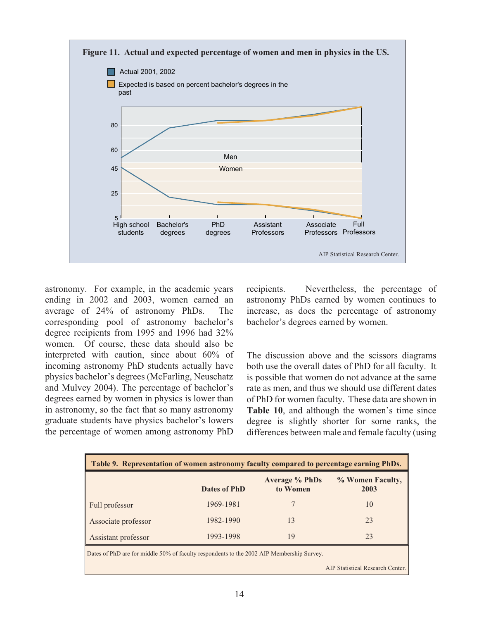

astronomy. For example, in the academic years ending in 2002 and 2003, women earned an average of 24% of astronomy PhDs. The corresponding pool of astronomy bachelor's degree recipients from 1995 and 1996 had 32% women. Of course, these data should also be interpreted with caution, since about 60% of incoming astronomy PhD students actually have physics bachelor's degrees (McFarling, Neuschatz and Mulvey 2004). The percentage of bachelor's degrees earned by women in physics is lower than in astronomy, so the fact that so many astronomy graduate students have physics bachelor's lowers the percentage of women among astronomy PhD recipients. Nevertheless, the percentage of astronomy PhDs earned by women continues to increase, as does the percentage of astronomy bachelor's degrees earned by women.

The discussion above and the scissors diagrams both use the overall dates of PhD for all faculty. It is possible that women do not advance at the same rate as men, and thus we should use different dates of PhD for women faculty. These data are shown in **Table 10**, and although the women's time since degree is slightly shorter for some ranks, the differences between male and female faculty (using

| Table 9. Representation of women astronomy faculty compared to percentage earning PhDs.   |              |                                   |                          |
|-------------------------------------------------------------------------------------------|--------------|-----------------------------------|--------------------------|
|                                                                                           | Dates of PhD | <b>Average % PhDs</b><br>to Women | % Women Faculty,<br>2003 |
| Full professor                                                                            | 1969-1981    |                                   | 10                       |
| Associate professor                                                                       | 1982-1990    | 13                                | 23                       |
| Assistant professor                                                                       | 1993-1998    | 19                                | 23                       |
| Dates of PhD are for middle 50% of faculty respondents to the 2002 AIP Membership Survey. |              |                                   |                          |

AIP Statistical Research Center.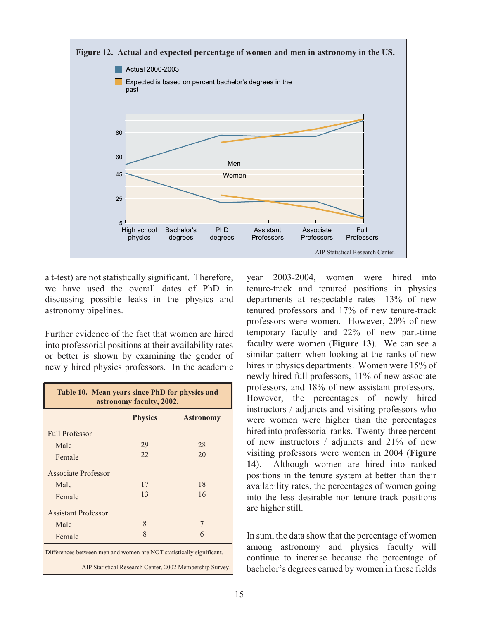

a t-test) are not statistically significant. Therefore, we have used the overall dates of PhD in discussing possible leaks in the physics and astronomy pipelines.

Further evidence of the fact that women are hired into professorial positions at their availability rates or better is shown by examining the gender of newly hired physics professors. In the academic

| Table 10. Mean years since PhD for physics and<br>astronomy faculty, 2002.                                                       |                |                  |  |
|----------------------------------------------------------------------------------------------------------------------------------|----------------|------------------|--|
|                                                                                                                                  | <b>Physics</b> | <b>Astronomy</b> |  |
| <b>Full Professor</b>                                                                                                            |                |                  |  |
| Male                                                                                                                             | 29             | 28               |  |
| Female                                                                                                                           | 22             | 20               |  |
| Associate Professor                                                                                                              |                |                  |  |
| Male                                                                                                                             | 17             | 18               |  |
| Female                                                                                                                           | 13             | 16               |  |
| <b>Assistant Professor</b>                                                                                                       |                |                  |  |
| Male                                                                                                                             | 8              |                  |  |
| Female                                                                                                                           | $\mathsf{R}$   | 6                |  |
| Differences between men and women are NOT statistically significant.<br>AIP Statistical Research Center, 2002 Membership Survey. |                |                  |  |

year 2003-2004, women were hired into tenure-track and tenured positions in physics departments at respectable rates—13% of new tenured professors and 17% of new tenure-track professors were women. However, 20% of new temporary faculty and 22% of new part-time faculty were women (**Figure 13**). We can see a similar pattern when looking at the ranks of new hires in physics departments. Women were 15% of newly hired full professors, 11% of new associate professors, and 18% of new assistant professors. However, the percentages of newly hired instructors / adjuncts and visiting professors who were women were higher than the percentages hired into professorial ranks. Twenty-three percent of new instructors / adjuncts and 21% of new visiting professors were women in 2004 (**Figure 14**). Although women are hired into ranked positions in the tenure system at better than their availability rates, the percentages of women going into the less desirable non-tenure-track positions are higher still.

In sum, the data show that the percentage of women among astronomy and physics faculty will continue to increase because the percentage of bachelor's degrees earned by women in these fields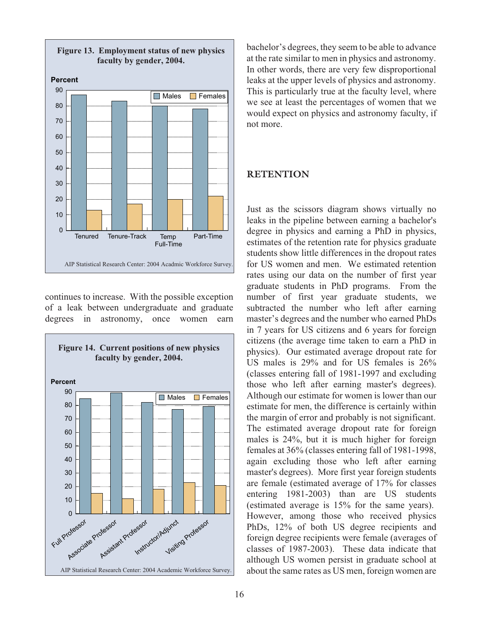

continues to increase. With the possible exception of a leak between undergraduate and graduate degrees in astronomy, once women earn



bachelor's degrees, they seem to be able to advance at the rate similar to men in physics and astronomy. In other words, there are very few disproportional leaks at the upper levels of physics and astronomy. This is particularly true at the faculty level, where we see at least the percentages of women that we would expect on physics and astronomy faculty, if not more.

### **RETENTION**

Just as the scissors diagram shows virtually no leaks in the pipeline between earning a bachelor's degree in physics and earning a PhD in physics, estimates of the retention rate for physics graduate students show little differences in the dropout rates for US women and men. We estimated retention rates using our data on the number of first year graduate students in PhD programs. From the number of first year graduate students, we subtracted the number who left after earning master's degrees and the number who earned PhDs in 7 years for US citizens and 6 years for foreign citizens (the average time taken to earn a PhD in physics). Our estimated average dropout rate for US males is 29% and for US females is 26% (classes entering fall of 1981-1997 and excluding those who left after earning master's degrees). Although our estimate for women is lower than our estimate for men, the difference is certainly within the margin of error and probably is not significant. The estimated average dropout rate for foreign males is 24%, but it is much higher for foreign females at 36% (classes entering fall of 1981-1998, again excluding those who left after earning master's degrees). More first year foreign students are female (estimated average of 17% for classes entering 1981-2003) than are US students (estimated average is 15% for the same years). However, among those who received physics PhDs, 12% of both US degree recipients and foreign degree recipients were female (averages of classes of 1987-2003). These data indicate that although US women persist in graduate school at about the same rates as US men, foreign women are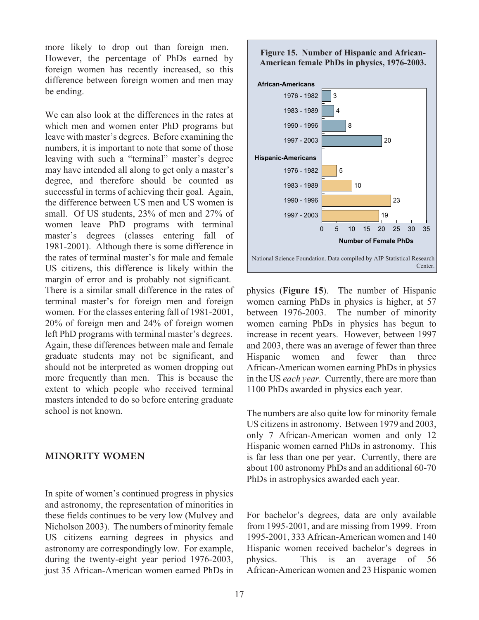more likely to drop out than foreign men. However, the percentage of PhDs earned by foreign women has recently increased, so this difference between foreign women and men may be ending.

We can also look at the differences in the rates at which men and women enter PhD programs but leave with master's degrees. Before examining the numbers, it is important to note that some of those leaving with such a "terminal" master's degree may have intended all along to get only a master's degree, and therefore should be counted as successful in terms of achieving their goal. Again, the difference between US men and US women is small. Of US students, 23% of men and 27% of women leave PhD programs with terminal master's degrees (classes entering fall of 1981-2001). Although there is some difference in the rates of terminal master's for male and female US citizens, this difference is likely within the margin of error and is probably not significant. There is a similar small difference in the rates of terminal master's for foreign men and foreign women. For the classes entering fall of 1981-2001, 20% of foreign men and 24% of foreign women left PhD programs with terminal master's degrees. Again, these differences between male and female graduate students may not be significant, and should not be interpreted as women dropping out more frequently than men. This is because the extent to which people who received terminal masters intended to do so before entering graduate school is not known.

#### **MINORITY WOMEN**

In spite of women's continued progress in physics and astronomy, the representation of minorities in these fields continues to be very low (Mulvey and Nicholson 2003). The numbers of minority female US citizens earning degrees in physics and astronomy are correspondingly low. For example, during the twenty-eight year period 1976-2003, just 35 African-American women earned PhDs in

#### **Figure 15. Number of Hispanic and African-American female PhDs in physics, 1976-2003.**



physics (**Figure 15**). The number of Hispanic women earning PhDs in physics is higher, at 57 between 1976-2003. The number of minority women earning PhDs in physics has begun to increase in recent years. However, between 1997 and 2003, there was an average of fewer than three Hispanic women and fewer than three African-American women earning PhDs in physics in the US *each year.* Currently, there are more than 1100 PhDs awarded in physics each year.

The numbers are also quite low for minority female US citizens in astronomy. Between 1979 and 2003, only 7 African-American women and only 12 Hispanic women earned PhDs in astronomy. This is far less than one per year. Currently, there are about 100 astronomy PhDs and an additional 60-70 PhDs in astrophysics awarded each year.

For bachelor's degrees, data are only available from 1995-2001, and are missing from 1999. From 1995-2001, 333 African-American women and 140 Hispanic women received bachelor's degrees in physics. This is an average of 56 African-American women and 23 Hispanic women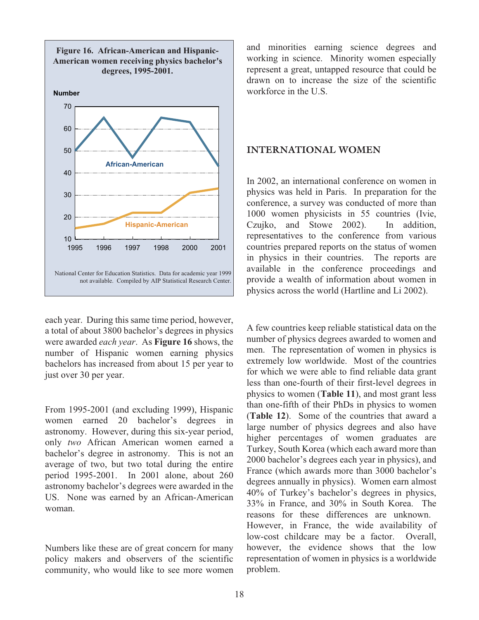

each year. During this same time period, however, a total of about 3800 bachelor's degrees in physics were awarded *each year*. As **Figure 16** shows, the number of Hispanic women earning physics bachelors has increased from about 15 per year to just over 30 per year.

From 1995-2001 (and excluding 1999), Hispanic women earned 20 bachelor's degrees in astronomy. However, during this six-year period, only *two* African American women earned a bachelor's degree in astronomy. This is not an average of two, but two total during the entire period 1995-2001. In 2001 alone, about 260 astronomy bachelor's degrees were awarded in the US. None was earned by an African-American woman.

Numbers like these are of great concern for many policy makers and observers of the scientific community, who would like to see more women

and minorities earning science degrees and working in science. Minority women especially represent a great, untapped resource that could be drawn on to increase the size of the scientific workforce in the U.S.

#### **INTERNATIONAL WOMEN**

In 2002, an international conference on women in physics was held in Paris. In preparation for the conference, a survey was conducted of more than 1000 women physicists in 55 countries (Ivie, Czujko, and Stowe 2002). In addition, representatives to the conference from various countries prepared reports on the status of women in physics in their countries. The reports are available in the conference proceedings and provide a wealth of information about women in physics across the world (Hartline and Li 2002).

A few countries keep reliable statistical data on the number of physics degrees awarded to women and men. The representation of women in physics is extremely low worldwide. Most of the countries for which we were able to find reliable data grant less than one-fourth of their first-level degrees in physics to women (**Table 11**), and most grant less than one-fifth of their PhDs in physics to women (**Table 12**). Some of the countries that award a large number of physics degrees and also have higher percentages of women graduates are Turkey, South Korea (which each award more than 2000 bachelor's degrees each year in physics), and France (which awards more than 3000 bachelor's degrees annually in physics). Women earn almost 40% of Turkey's bachelor's degrees in physics, 33% in France, and 30% in South Korea. The reasons for these differences are unknown. However, in France, the wide availability of low-cost childcare may be a factor. Overall, however, the evidence shows that the low representation of women in physics is a worldwide problem.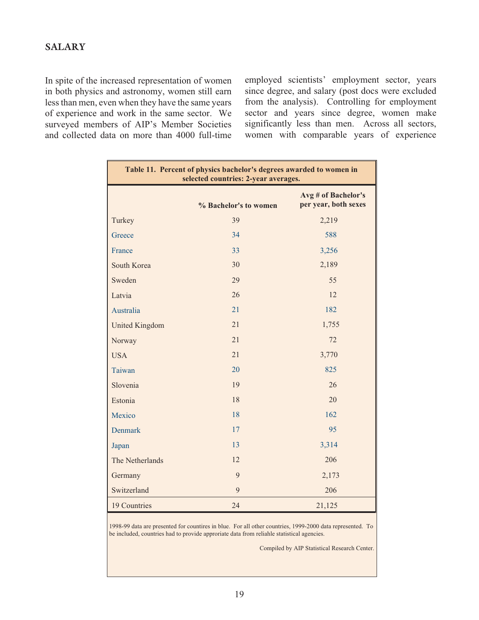In spite of the increased representation of women in both physics and astronomy, women still earn less than men, even when they have the same years of experience and work in the same sector. We surveyed members of AIP's Member Societies and collected data on more than 4000 full-time employed scientists' employment sector, years since degree, and salary (post docs were excluded from the analysis). Controlling for employment sector and years since degree, women make significantly less than men. Across all sectors, women with comparable years of experience

| Table 11. Percent of physics bachelor's degrees awarded to women in<br>selected countries: 2-year averages. |                       |                                             |  |
|-------------------------------------------------------------------------------------------------------------|-----------------------|---------------------------------------------|--|
|                                                                                                             | % Bachelor's to women | Avg # of Bachelor's<br>per year, both sexes |  |
| Turkey                                                                                                      | 39                    | 2,219                                       |  |
| Greece                                                                                                      | 34                    | 588                                         |  |
| France                                                                                                      | 33                    | 3,256                                       |  |
| South Korea                                                                                                 | 30                    | 2,189                                       |  |
| Sweden                                                                                                      | 29                    | 55                                          |  |
| Latvia                                                                                                      | 26                    | 12                                          |  |
| Australia                                                                                                   | 21                    | 182                                         |  |
| <b>United Kingdom</b>                                                                                       | 21                    | 1,755                                       |  |
| Norway                                                                                                      | 21                    | 72                                          |  |
| <b>USA</b>                                                                                                  | 21                    | 3,770                                       |  |
| Taiwan                                                                                                      | 20                    | 825                                         |  |
| Slovenia                                                                                                    | 19                    | 26                                          |  |
| Estonia                                                                                                     | 18                    | 20                                          |  |
| Mexico                                                                                                      | 18                    | 162                                         |  |
| <b>Denmark</b>                                                                                              | 17                    | 95                                          |  |
| Japan                                                                                                       | 13                    | 3,314                                       |  |
| The Netherlands                                                                                             | 12                    | 206                                         |  |
| Germany                                                                                                     | 9                     | 2,173                                       |  |
| Switzerland                                                                                                 | 9                     | 206                                         |  |
| 19 Countries                                                                                                | 24                    | 21,125                                      |  |

1998-99 data are presented for countires in blue. For all other countries, 1999-2000 data represented. To be included, countries had to provide approriate data from reliahle statistical agencies.

Compiled by AIP Statistical Research Center.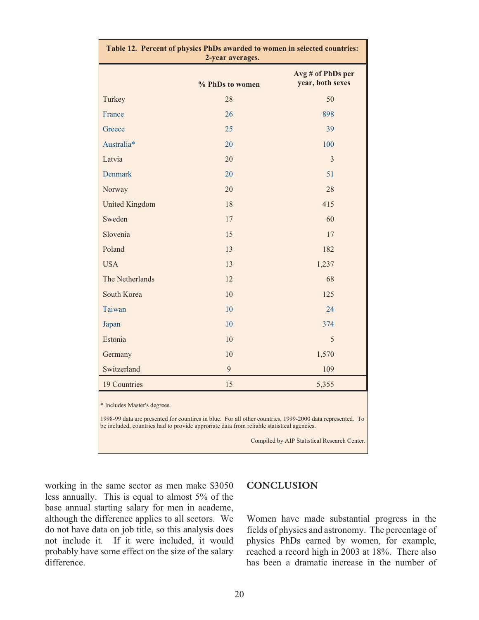| Table 12. Percent of physics PhDs awarded to women in selected countries:<br>2-year averages.                                                                                                                                          |                 |                                              |  |
|----------------------------------------------------------------------------------------------------------------------------------------------------------------------------------------------------------------------------------------|-----------------|----------------------------------------------|--|
|                                                                                                                                                                                                                                        | % PhDs to women | Avg # of PhDs per<br>year, both sexes        |  |
| Turkey                                                                                                                                                                                                                                 | 28              | 50                                           |  |
| France                                                                                                                                                                                                                                 | 26              | 898                                          |  |
| Greece                                                                                                                                                                                                                                 | 25              | 39                                           |  |
| Australia*                                                                                                                                                                                                                             | 20              | 100                                          |  |
| Latvia                                                                                                                                                                                                                                 | 20              | 3                                            |  |
| <b>Denmark</b>                                                                                                                                                                                                                         | 20              | 51                                           |  |
| Norway                                                                                                                                                                                                                                 | 20              | 28                                           |  |
| <b>United Kingdom</b>                                                                                                                                                                                                                  | 18              | 415                                          |  |
| Sweden                                                                                                                                                                                                                                 | 17              | 60                                           |  |
| Slovenia                                                                                                                                                                                                                               | 15              | 17                                           |  |
| Poland                                                                                                                                                                                                                                 | 13              | 182                                          |  |
| <b>USA</b>                                                                                                                                                                                                                             | 13              | 1,237                                        |  |
| The Netherlands                                                                                                                                                                                                                        | 12              | 68                                           |  |
| South Korea                                                                                                                                                                                                                            | 10              | 125                                          |  |
| Taiwan                                                                                                                                                                                                                                 | 10              | 24                                           |  |
| Japan                                                                                                                                                                                                                                  | 10              | 374                                          |  |
| Estonia                                                                                                                                                                                                                                | 10              | 5                                            |  |
| Germany                                                                                                                                                                                                                                | 10              | 1,570                                        |  |
| Switzerland                                                                                                                                                                                                                            | 9               | 109                                          |  |
| 19 Countries                                                                                                                                                                                                                           | 15              | 5,355                                        |  |
| * Includes Master's degrees.<br>1998-99 data are presented for countires in blue. For all other countries, 1999-2000 data represented. To<br>be included, countries had to provide approriate data from reliahle statistical agencies. |                 |                                              |  |
|                                                                                                                                                                                                                                        |                 | Compiled by AIP Statistical Research Center. |  |

working in the same sector as men make \$3050 less annually. This is equal to almost 5% of the base annual starting salary for men in academe, although the difference applies to all sectors. We do not have data on job title, so this analysis does not include it. If it were included, it would probably have some effect on the size of the salary difference.

#### **CONCLUSION**

Women have made substantial progress in the fields of physics and astronomy. The percentage of physics PhDs earned by women, for example, reached a record high in 2003 at 18%. There also has been a dramatic increase in the number of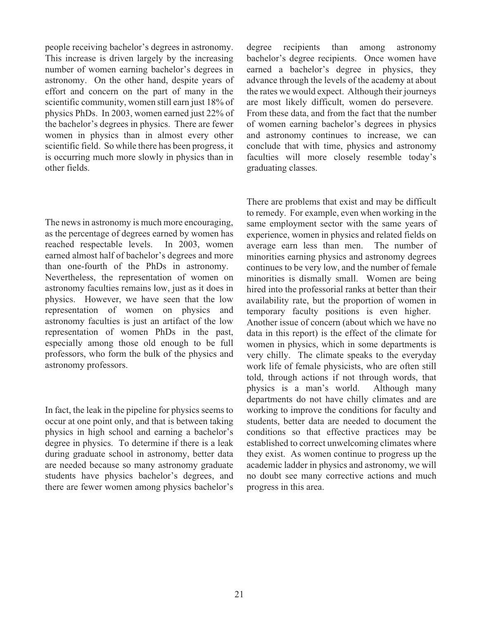people receiving bachelor's degrees in astronomy. This increase is driven largely by the increasing number of women earning bachelor's degrees in astronomy. On the other hand, despite years of effort and concern on the part of many in the scientific community, women still earn just 18% of physics PhDs. In 2003, women earned just 22% of the bachelor's degrees in physics. There are fewer women in physics than in almost every other scientific field. So while there has been progress, it is occurring much more slowly in physics than in other fields.

The news in astronomy is much more encouraging, as the percentage of degrees earned by women has reached respectable levels. In 2003, women earned almost half of bachelor's degrees and more than one-fourth of the PhDs in astronomy. Nevertheless, the representation of women on astronomy faculties remains low, just as it does in physics. However, we have seen that the low representation of women on physics and astronomy faculties is just an artifact of the low representation of women PhDs in the past, especially among those old enough to be full professors, who form the bulk of the physics and astronomy professors.

In fact, the leak in the pipeline for physics seems to occur at one point only, and that is between taking physics in high school and earning a bachelor's degree in physics. To determine if there is a leak during graduate school in astronomy, better data are needed because so many astronomy graduate students have physics bachelor's degrees, and there are fewer women among physics bachelor's

degree recipients than among astronomy bachelor's degree recipients. Once women have earned a bachelor's degree in physics, they advance through the levels of the academy at about the rates we would expect. Although their journeys are most likely difficult, women do persevere. From these data, and from the fact that the number of women earning bachelor's degrees in physics and astronomy continues to increase, we can conclude that with time, physics and astronomy faculties will more closely resemble today's graduating classes.

There are problems that exist and may be difficult to remedy. For example, even when working in the same employment sector with the same years of experience, women in physics and related fields on average earn less than men. The number of minorities earning physics and astronomy degrees continues to be very low, and the number of female minorities is dismally small. Women are being hired into the professorial ranks at better than their availability rate, but the proportion of women in temporary faculty positions is even higher. Another issue of concern (about which we have no data in this report) is the effect of the climate for women in physics, which in some departments is very chilly. The climate speaks to the everyday work life of female physicists, who are often still told, through actions if not through words, that physics is a man's world. Although many departments do not have chilly climates and are working to improve the conditions for faculty and students, better data are needed to document the conditions so that effective practices may be established to correct unwelcoming climates where they exist. As women continue to progress up the academic ladder in physics and astronomy, we will no doubt see many corrective actions and much progress in this area.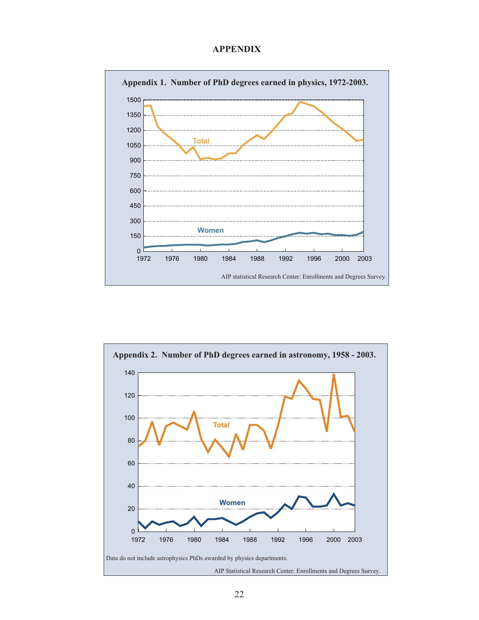#### **APPENDIX**



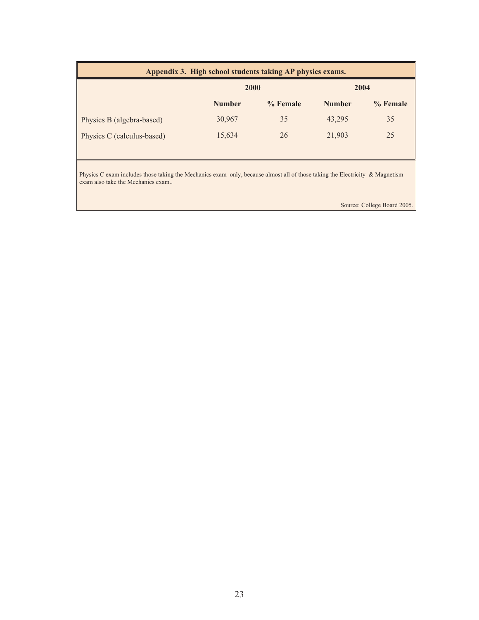| Appendix 3. High school students taking AP physics exams. |               |            |               |            |
|-----------------------------------------------------------|---------------|------------|---------------|------------|
|                                                           | 2000          |            | 2004          |            |
|                                                           | <b>Number</b> | $%$ Female | <b>Number</b> | $%$ Female |
| Physics B (algebra-based)                                 | 30,967        | 35         | 43,295        | 35         |
| Physics C (calculus-based)                                | 15,634        | 26         | 21,903        | 25         |

Physics C exam includes those taking the Mechanics exam only, because almost all of those taking the Electricity & Magnetism exam also take the Mechanics exam..

Source: College Board 2005.